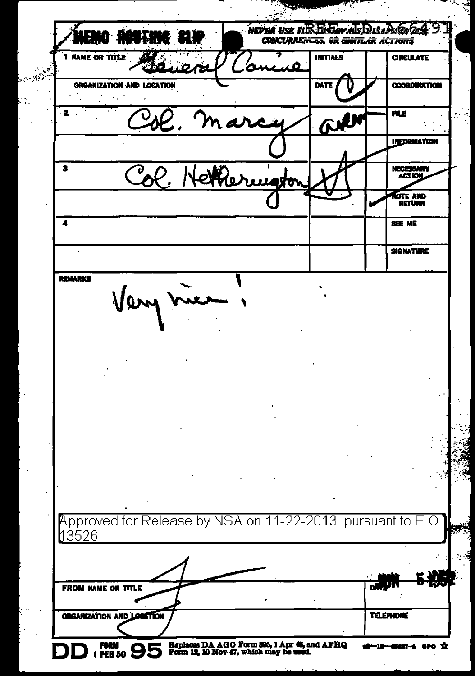$\mu$ **Q RANTING SID CONCURRENCES, OR SHETLAR ACTIONS RAME OF TITLE INITIALS CIRCULATE** Ŧ .<br>Se د. **ORGANIZATION AND LOCATION** DATE ľł **COORDINATION**  $\overline{\mathbf{z}}$ 雨 **INFORMATION** NECESSARY<br>ACTION  $\overline{\mathbf{S}}$ ſo. **OTE AND**<br>RETURN  $\overline{\mathbf{A}}$ SEE ME **SIGNATURE REMARKS** Very Approved for Release by NSA on 11-22-2013 pursuant to E.O <u>13526</u> ДŅ, **FROM NAME OR TITLE ORGANIZATION AND LOCKTION TELEPHONE** FORM 95 Replaces DA AGO Form 895, 1 Apr 46, and AFHQ<br>Form 12, 10 Nov 47, which may be used.  $\mathbf{r}$ **GPO** 

ċ,